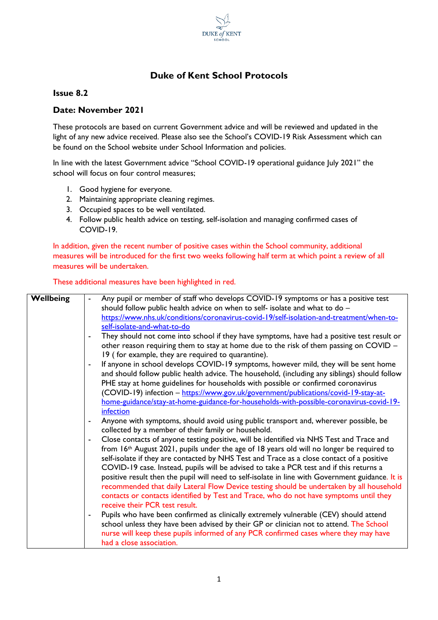

## **Duke of Kent School Protocols**

## **Issue 8.2**

## **Date: November 2021**

These protocols are based on current Government advice and will be reviewed and updated in the light of any new advice received. Please also see the School's COVID-19 Risk Assessment which can be found on the School website under School Information and policies.

In line with the latest Government advice "School COVID-19 operational guidance July 2021" the school will focus on four control measures;

- 1. Good hygiene for everyone.
- 2. Maintaining appropriate cleaning regimes.
- 3. Occupied spaces to be well ventilated.
- 4. Follow public health advice on testing, self-isolation and managing confirmed cases of COVID-19.

In addition, given the recent number of positive cases within the School community, additional measures will be introduced for the first two weeks following half term at which point a review of all measures will be undertaken.

These additional measures have been highlighted in red.

| <b>Wellbeing</b> | Any pupil or member of staff who develops COVID-19 symptoms or has a positive test                                                                                                                                                                                                                                                                                                |
|------------------|-----------------------------------------------------------------------------------------------------------------------------------------------------------------------------------------------------------------------------------------------------------------------------------------------------------------------------------------------------------------------------------|
|                  | should follow public health advice on when to self- isolate and what to do -                                                                                                                                                                                                                                                                                                      |
|                  | https://www.nhs.uk/conditions/coronavirus-covid-19/self-isolation-and-treatment/when-to-                                                                                                                                                                                                                                                                                          |
|                  | self-isolate-and-what-to-do                                                                                                                                                                                                                                                                                                                                                       |
|                  | They should not come into school if they have symptoms, have had a positive test result or<br>other reason requiring them to stay at home due to the risk of them passing on COVID -<br>19 (for example, they are required to quarantine).                                                                                                                                        |
|                  | If anyone in school develops COVID-19 symptoms, however mild, they will be sent home                                                                                                                                                                                                                                                                                              |
|                  | and should follow public health advice. The household, (including any siblings) should follow<br>PHE stay at home guidelines for households with possible or confirmed coronavirus                                                                                                                                                                                                |
|                  | (COVID-19) infection - https://www.gov.uk/government/publications/covid-19-stay-at-                                                                                                                                                                                                                                                                                               |
|                  | home-guidance/stay-at-home-guidance-for-households-with-possible-coronavirus-covid-19-                                                                                                                                                                                                                                                                                            |
|                  | infection                                                                                                                                                                                                                                                                                                                                                                         |
|                  | Anyone with symptoms, should avoid using public transport and, wherever possible, be<br>$\overline{\phantom{a}}$<br>collected by a member of their family or household.                                                                                                                                                                                                           |
|                  | Close contacts of anyone testing positive, will be identified via NHS Test and Trace and<br>$\overline{\phantom{a}}$                                                                                                                                                                                                                                                              |
|                  | from $16th$ August 2021, pupils under the age of 18 years old will no longer be required to<br>self-isolate if they are contacted by NHS Test and Trace as a close contact of a positive                                                                                                                                                                                          |
|                  | COVID-19 case. Instead, pupils will be advised to take a PCR test and if this returns a<br>positive result then the pupil will need to self-isolate in line with Government guidance. It is<br>recommended that daily Lateral Flow Device testing should be undertaken by all household<br>contacts or contacts identified by Test and Trace, who do not have symptoms until they |
|                  | receive their PCR test result.                                                                                                                                                                                                                                                                                                                                                    |
|                  | Pupils who have been confirmed as clinically extremely vulnerable (CEV) should attend<br>$\blacksquare$<br>school unless they have been advised by their GP or clinician not to attend. The School<br>nurse will keep these pupils informed of any PCR confirmed cases where they may have<br>had a close association.                                                            |
|                  |                                                                                                                                                                                                                                                                                                                                                                                   |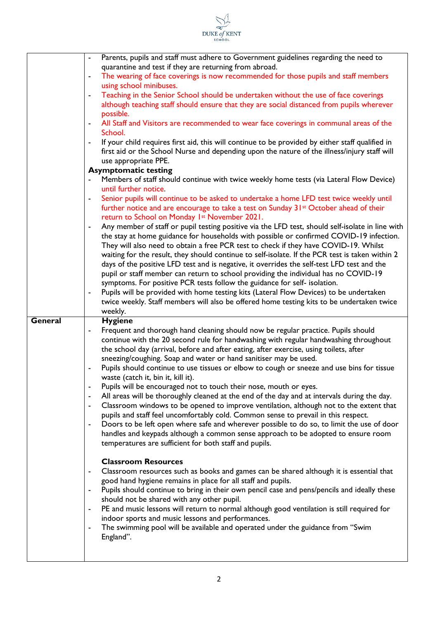|         | SCHOOL                                                                                                                                                                                                                                                                                                                                                                                                                                                                                                                                                                                                                                                                                                                                                                                                                                                                                                                                                                                                                                                                                                                                                                                                                                                                                                                                                                                                                                                                                             |
|---------|----------------------------------------------------------------------------------------------------------------------------------------------------------------------------------------------------------------------------------------------------------------------------------------------------------------------------------------------------------------------------------------------------------------------------------------------------------------------------------------------------------------------------------------------------------------------------------------------------------------------------------------------------------------------------------------------------------------------------------------------------------------------------------------------------------------------------------------------------------------------------------------------------------------------------------------------------------------------------------------------------------------------------------------------------------------------------------------------------------------------------------------------------------------------------------------------------------------------------------------------------------------------------------------------------------------------------------------------------------------------------------------------------------------------------------------------------------------------------------------------------|
|         | Parents, pupils and staff must adhere to Government guidelines regarding the need to<br>$\blacksquare$<br>quarantine and test if they are returning from abroad.<br>The wearing of face coverings is now recommended for those pupils and staff members<br>$\blacksquare$<br>using school minibuses.<br>Teaching in the Senior School should be undertaken without the use of face coverings<br>$\blacksquare$<br>although teaching staff should ensure that they are social distanced from pupils wherever<br>possible.<br>All Staff and Visitors are recommended to wear face coverings in communal areas of the<br>School.<br>If your child requires first aid, this will continue to be provided by either staff qualified in<br>$\overline{\phantom{0}}$<br>first aid or the School Nurse and depending upon the nature of the illness/injury staff will<br>use appropriate PPE.<br><b>Asymptomatic testing</b><br>Members of staff should continue with twice weekly home tests (via Lateral Flow Device)<br>until further notice.<br>Senior pupils will continue to be asked to undertake a home LFD test twice weekly until<br>۰<br>further notice and are encourage to take a test on Sunday 31 <sup>st</sup> October ahead of their<br>return to School on Monday 1st November 2021.<br>Any member of staff or pupil testing positive via the LFD test, should self-isolate in line with<br>٠<br>the stay at home guidance for households with possible or confirmed COVID-19 infection. |
|         | They will also need to obtain a free PCR test to check if they have COVID-19. Whilst<br>waiting for the result, they should continue to self-isolate. If the PCR test is taken within 2<br>days of the positive LFD test and is negative, it overrides the self-test LFD test and the<br>pupil or staff member can return to school providing the individual has no COVID-19<br>symptoms. For positive PCR tests follow the guidance for self- isolation.<br>Pupils will be provided with home testing kits (Lateral Flow Devices) to be undertaken<br>$\blacksquare$                                                                                                                                                                                                                                                                                                                                                                                                                                                                                                                                                                                                                                                                                                                                                                                                                                                                                                                              |
|         | twice weekly. Staff members will also be offered home testing kits to be undertaken twice<br>weekly.                                                                                                                                                                                                                                                                                                                                                                                                                                                                                                                                                                                                                                                                                                                                                                                                                                                                                                                                                                                                                                                                                                                                                                                                                                                                                                                                                                                               |
| General | <b>Hygiene</b><br>Frequent and thorough hand cleaning should now be regular practice. Pupils should<br>-<br>continue with the 20 second rule for handwashing with regular handwashing throughout<br>the school day (arrival, before and after eating, after exercise, using toilets, after<br>sneezing/coughing. Soap and water or hand sanitiser may be used.<br>Pupils should continue to use tissues or elbow to cough or sneeze and use bins for tissue<br>waste (catch it, bin it, kill it).<br>Pupils will be encouraged not to touch their nose, mouth or eyes.<br>$\blacksquare$<br>All areas will be thoroughly cleaned at the end of the day and at intervals during the day.<br>Classroom windows to be opened to improve ventilation, although not to the extent that<br>$\blacksquare$<br>pupils and staff feel uncomfortably cold. Common sense to prevail in this respect.<br>Doors to be left open where safe and wherever possible to do so, to limit the use of door<br>۰<br>handles and keypads although a common sense approach to be adopted to ensure room<br>temperatures are sufficient for both staff and pupils.                                                                                                                                                                                                                                                                                                                                                         |
|         | <b>Classroom Resources</b><br>Classroom resources such as books and games can be shared although it is essential that<br>good hand hygiene remains in place for all staff and pupils.<br>Pupils should continue to bring in their own pencil case and pens/pencils and ideally these<br>٠<br>should not be shared with any other pupil.<br>PE and music lessons will return to normal although good ventilation is still required for<br>۰<br>indoor sports and music lessons and performances.<br>The swimming pool will be available and operated under the guidance from "Swim<br>۰<br>England".                                                                                                                                                                                                                                                                                                                                                                                                                                                                                                                                                                                                                                                                                                                                                                                                                                                                                                |

DUKE of KENT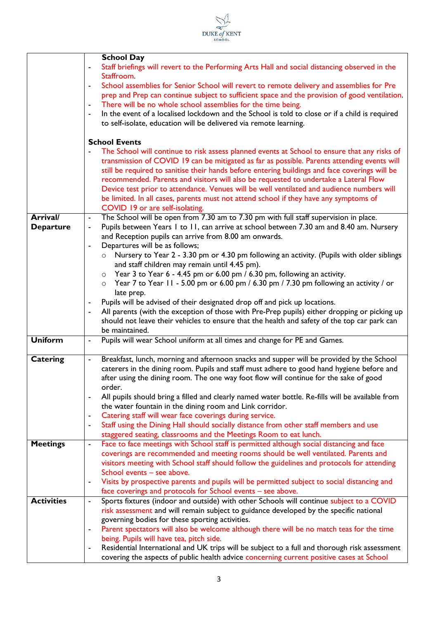|                   | <b>DUKE</b> of <b>KENT</b><br><b>SCHOOL</b>                                                                                                                     |
|-------------------|-----------------------------------------------------------------------------------------------------------------------------------------------------------------|
|                   |                                                                                                                                                                 |
|                   | <b>School Day</b><br>Staff briefings will revert to the Performing Arts Hall and social distancing observed in the                                              |
|                   | Staffroom.                                                                                                                                                      |
|                   | School assemblies for Senior School will revert to remote delivery and assemblies for Pre                                                                       |
|                   | prep and Prep can continue subject to sufficient space and the provision of good ventilation.                                                                   |
|                   | There will be no whole school assemblies for the time being.<br>-                                                                                               |
|                   | In the event of a localised lockdown and the School is told to close or if a child is required<br>۰                                                             |
|                   | to self-isolate, education will be delivered via remote learning.                                                                                               |
|                   | <b>School Events</b>                                                                                                                                            |
|                   | The School will continue to risk assess planned events at School to ensure that any risks of                                                                    |
|                   | transmission of COVID 19 can be mitigated as far as possible. Parents attending events will                                                                     |
|                   | still be required to sanitise their hands before entering buildings and face coverings will be                                                                  |
|                   | recommended. Parents and visitors will also be requested to undertake a Lateral Flow                                                                            |
|                   | Device test prior to attendance. Venues will be well ventilated and audience numbers will                                                                       |
|                   | be limited. In all cases, parents must not attend school if they have any symptoms of                                                                           |
|                   | COVID 19 or are self-isolating.                                                                                                                                 |
| <b>Arrival/</b>   | The School will be open from 7.30 am to 7.30 pm with full staff supervision in place.<br>$\blacksquare$                                                         |
| <b>Departure</b>  | Pupils between Years 1 to 11, can arrive at school between 7.30 am and 8.40 am. Nursery<br>-<br>and Reception pupils can arrive from 8.00 am onwards.           |
|                   | Departures will be as follows;<br>÷                                                                                                                             |
|                   | Nursery to Year 2 - 3.30 pm or 4.30 pm following an activity. (Pupils with older siblings<br>$\circ$                                                            |
|                   | and staff children may remain until 4.45 pm).                                                                                                                   |
|                   | $\circ$ Year 3 to Year 6 - 4.45 pm or 6.00 pm / 6.30 pm, following an activity.                                                                                 |
|                   | Year 7 to Year 11 - 5.00 pm or 6.00 pm / 6.30 pm / 7.30 pm following an activity / or<br>$\circ$                                                                |
|                   | late prep.                                                                                                                                                      |
|                   | Pupils will be advised of their designated drop off and pick up locations.                                                                                      |
|                   | All parents (with the exception of those with Pre-Prep pupils) either dropping or picking up<br>۰                                                               |
|                   | should not leave their vehicles to ensure that the health and safety of the top car park can                                                                    |
| <b>Uniform</b>    | be maintained.<br>Pupils will wear School uniform at all times and change for PE and Games.                                                                     |
|                   | -                                                                                                                                                               |
| <b>Catering</b>   | Breakfast, lunch, morning and afternoon snacks and supper will be provided by the School                                                                        |
|                   | caterers in the dining room. Pupils and staff must adhere to good hand hygiene before and                                                                       |
|                   | after using the dining room. The one way foot flow will continue for the sake of good                                                                           |
|                   | order.                                                                                                                                                          |
|                   | All pupils should bring a filled and clearly named water bottle. Re-fills will be available from<br>$\blacksquare$                                              |
|                   | the water fountain in the dining room and Link corridor.                                                                                                        |
|                   | Catering staff will wear face coverings during service.<br>۰                                                                                                    |
|                   | Staff using the Dining Hall should socially distance from other staff members and use<br>-<br>staggered seating, classrooms and the Meetings Room to eat lunch. |
| <b>Meetings</b>   | Face to face meetings with School staff is permitted although social distancing and face<br>-                                                                   |
|                   | coverings are recommended and meeting rooms should be well ventilated. Parents and                                                                              |
|                   | visitors meeting with School staff should follow the guidelines and protocols for attending                                                                     |
|                   | School events - see above.                                                                                                                                      |
|                   | Visits by prospective parents and pupils will be permitted subject to social distancing and<br>-                                                                |
|                   | face coverings and protocols for School events - see above.                                                                                                     |
| <b>Activities</b> | Sports fixtures (indoor and outside) with other Schools will continue subject to a COVID<br>$\frac{1}{2}$                                                       |
|                   | risk assessment and will remain subject to guidance developed by the specific national                                                                          |
|                   | governing bodies for these sporting activities.                                                                                                                 |
|                   | Parent spectators will also be welcome although there will be no match teas for the time<br>-                                                                   |
|                   | being. Pupils will have tea, pitch side.                                                                                                                        |
|                   | Residential International and UK trips will be subject to a full and thorough risk assessment<br>-                                                              |
|                   | covering the aspects of public health advice concerning current positive cases at School                                                                        |